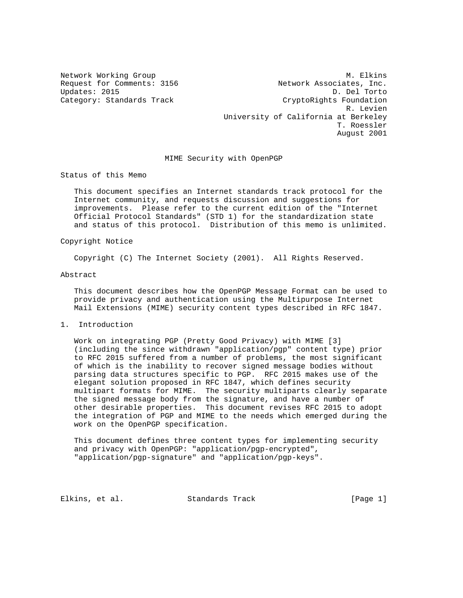Updates: 2015

Network Working Group Methods and M. Elkins Request for Comments: 3156 Network Associates, Inc.<br>Updates: 2015 D. Del Torto Category: Standards Track CryptoRights Foundation R. Levien University of California at Berkeley T. Roessler August 2001

## MIME Security with OpenPGP

Status of this Memo

 This document specifies an Internet standards track protocol for the Internet community, and requests discussion and suggestions for improvements. Please refer to the current edition of the "Internet Official Protocol Standards" (STD 1) for the standardization state and status of this protocol. Distribution of this memo is unlimited.

# Copyright Notice

Copyright (C) The Internet Society (2001). All Rights Reserved.

### Abstract

 This document describes how the OpenPGP Message Format can be used to provide privacy and authentication using the Multipurpose Internet Mail Extensions (MIME) security content types described in RFC 1847.

### 1. Introduction

 Work on integrating PGP (Pretty Good Privacy) with MIME [3] (including the since withdrawn "application/pgp" content type) prior to RFC 2015 suffered from a number of problems, the most significant of which is the inability to recover signed message bodies without parsing data structures specific to PGP. RFC 2015 makes use of the elegant solution proposed in RFC 1847, which defines security multipart formats for MIME. The security multiparts clearly separate the signed message body from the signature, and have a number of other desirable properties. This document revises RFC 2015 to adopt the integration of PGP and MIME to the needs which emerged during the work on the OpenPGP specification.

 This document defines three content types for implementing security and privacy with OpenPGP: "application/pgp-encrypted", "application/pgp-signature" and "application/pgp-keys".

Elkins, et al. Standards Track [Page 1]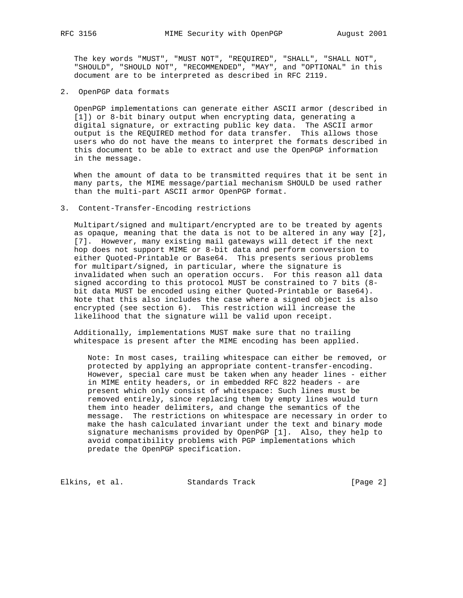The key words "MUST", "MUST NOT", "REQUIRED", "SHALL", "SHALL NOT", "SHOULD", "SHOULD NOT", "RECOMMENDED", "MAY", and "OPTIONAL" in this document are to be interpreted as described in RFC 2119.

2. OpenPGP data formats

 OpenPGP implementations can generate either ASCII armor (described in [1]) or 8-bit binary output when encrypting data, generating a digital signature, or extracting public key data. The ASCII armor output is the REQUIRED method for data transfer. This allows those users who do not have the means to interpret the formats described in this document to be able to extract and use the OpenPGP information in the message.

 When the amount of data to be transmitted requires that it be sent in many parts, the MIME message/partial mechanism SHOULD be used rather than the multi-part ASCII armor OpenPGP format.

### 3. Content-Transfer-Encoding restrictions

 Multipart/signed and multipart/encrypted are to be treated by agents as opaque, meaning that the data is not to be altered in any way [2], [7]. However, many existing mail gateways will detect if the next hop does not support MIME or 8-bit data and perform conversion to either Quoted-Printable or Base64. This presents serious problems for multipart/signed, in particular, where the signature is invalidated when such an operation occurs. For this reason all data signed according to this protocol MUST be constrained to 7 bits (8 bit data MUST be encoded using either Quoted-Printable or Base64). Note that this also includes the case where a signed object is also encrypted (see section 6). This restriction will increase the likelihood that the signature will be valid upon receipt.

 Additionally, implementations MUST make sure that no trailing whitespace is present after the MIME encoding has been applied.

 Note: In most cases, trailing whitespace can either be removed, or protected by applying an appropriate content-transfer-encoding. However, special care must be taken when any header lines - either in MIME entity headers, or in embedded RFC 822 headers - are present which only consist of whitespace: Such lines must be removed entirely, since replacing them by empty lines would turn them into header delimiters, and change the semantics of the message. The restrictions on whitespace are necessary in order to make the hash calculated invariant under the text and binary mode signature mechanisms provided by OpenPGP [1]. Also, they help to avoid compatibility problems with PGP implementations which predate the OpenPGP specification.

Elkins, et al. Standards Track [Page 2]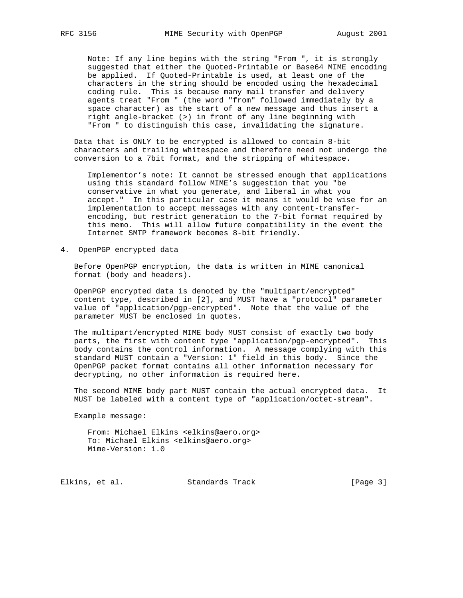Note: If any line begins with the string "From ", it is strongly suggested that either the Quoted-Printable or Base64 MIME encoding be applied. If Quoted-Printable is used, at least one of the characters in the string should be encoded using the hexadecimal coding rule. This is because many mail transfer and delivery agents treat "From " (the word "from" followed immediately by a space character) as the start of a new message and thus insert a right angle-bracket (>) in front of any line beginning with "From " to distinguish this case, invalidating the signature.

 Data that is ONLY to be encrypted is allowed to contain 8-bit characters and trailing whitespace and therefore need not undergo the conversion to a 7bit format, and the stripping of whitespace.

 Implementor's note: It cannot be stressed enough that applications using this standard follow MIME's suggestion that you "be conservative in what you generate, and liberal in what you accept." In this particular case it means it would be wise for an implementation to accept messages with any content-transfer encoding, but restrict generation to the 7-bit format required by this memo. This will allow future compatibility in the event the Internet SMTP framework becomes 8-bit friendly.

4. OpenPGP encrypted data

 Before OpenPGP encryption, the data is written in MIME canonical format (body and headers).

 OpenPGP encrypted data is denoted by the "multipart/encrypted" content type, described in [2], and MUST have a "protocol" parameter value of "application/pgp-encrypted". Note that the value of the parameter MUST be enclosed in quotes.

 The multipart/encrypted MIME body MUST consist of exactly two body parts, the first with content type "application/pgp-encrypted". This body contains the control information. A message complying with this standard MUST contain a "Version: 1" field in this body. Since the OpenPGP packet format contains all other information necessary for decrypting, no other information is required here.

 The second MIME body part MUST contain the actual encrypted data. It MUST be labeled with a content type of "application/octet-stream".

Example message:

 From: Michael Elkins <elkins@aero.org> To: Michael Elkins <elkins@aero.org> Mime-Version: 1.0

Elkins, et al. Standards Track [Page 3]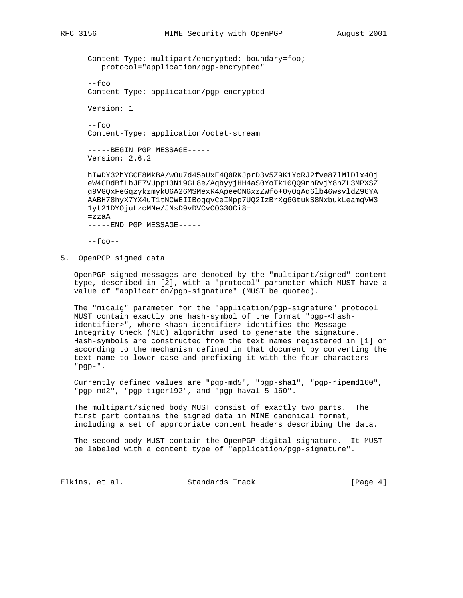Content-Type: multipart/encrypted; boundary=foo; protocol="application/pgp-encrypted"

```
 --foo
Content-Type: application/pgp-encrypted
```
Version: 1

 $--f$ 00 Content-Type: application/octet-stream

 -----BEGIN PGP MESSAGE----- Version: 2.6.2

 hIwDY32hYGCE8MkBA/wOu7d45aUxF4Q0RKJprD3v5Z9K1YcRJ2fve87lMlDlx4Oj eW4GDdBfLbJE7VUpp13N19GL8e/AqbyyjHH4aS0YoTk10QQ9nnRvjY8nZL3MPXSZ g9VGQxFeGqzykzmykU6A26MSMexR4ApeeON6xzZWfo+0yOqAq6lb46wsvldZ96YA AABH78hyX7YX4uT1tNCWEIIBoqqvCeIMpp7UQ2IzBrXg6GtukS8NxbukLeamqVW3 1yt21DYOjuLzcMNe/JNsD9vDVCvOOG3OCi8= =zzaA

-----END PGP MESSAGE-----

 $--f$ oo $--$ 

5. OpenPGP signed data

 OpenPGP signed messages are denoted by the "multipart/signed" content type, described in [2], with a "protocol" parameter which MUST have a value of "application/pgp-signature" (MUST be quoted).

 The "micalg" parameter for the "application/pgp-signature" protocol MUST contain exactly one hash-symbol of the format "pgp-<hash identifier>", where <hash-identifier> identifies the Message Integrity Check (MIC) algorithm used to generate the signature. Hash-symbols are constructed from the text names registered in [1] or according to the mechanism defined in that document by converting the text name to lower case and prefixing it with the four characters "pgp-".

 Currently defined values are "pgp-md5", "pgp-sha1", "pgp-ripemd160", "pgp-md2", "pgp-tiger192", and "pgp-haval-5-160".

 The multipart/signed body MUST consist of exactly two parts. The first part contains the signed data in MIME canonical format, including a set of appropriate content headers describing the data.

 The second body MUST contain the OpenPGP digital signature. It MUST be labeled with a content type of "application/pgp-signature".

Elkins, et al. Standards Track [Page 4]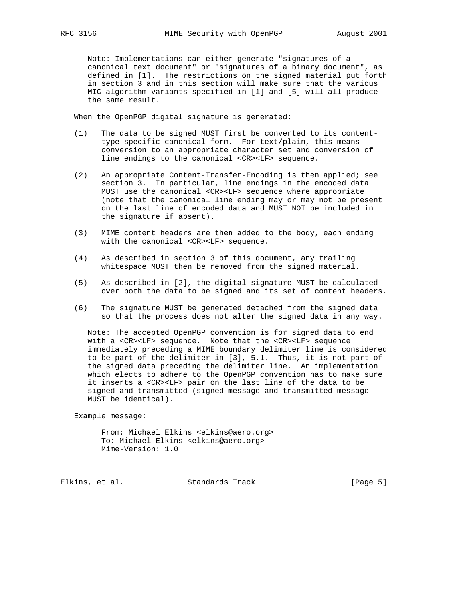Note: Implementations can either generate "signatures of a canonical text document" or "signatures of a binary document", as defined in [1]. The restrictions on the signed material put forth in section 3 and in this section will make sure that the various MIC algorithm variants specified in [1] and [5] will all produce the same result.

When the OpenPGP digital signature is generated:

- (1) The data to be signed MUST first be converted to its content type specific canonical form. For text/plain, this means conversion to an appropriate character set and conversion of line endings to the canonical <CR><LF> sequence.
- (2) An appropriate Content-Transfer-Encoding is then applied; see section 3. In particular, line endings in the encoded data MUST use the canonical <CR><LF> sequence where appropriate (note that the canonical line ending may or may not be present on the last line of encoded data and MUST NOT be included in the signature if absent).
- (3) MIME content headers are then added to the body, each ending with the canonical <CR><LF> sequence.
- (4) As described in section 3 of this document, any trailing whitespace MUST then be removed from the signed material.
- (5) As described in [2], the digital signature MUST be calculated over both the data to be signed and its set of content headers.
- (6) The signature MUST be generated detached from the signed data so that the process does not alter the signed data in any way.

 Note: The accepted OpenPGP convention is for signed data to end with a <CR><LF> sequence. Note that the <CR><LF> sequence immediately preceding a MIME boundary delimiter line is considered to be part of the delimiter in [3], 5.1. Thus, it is not part of the signed data preceding the delimiter line. An implementation which elects to adhere to the OpenPGP convention has to make sure it inserts a <CR><LF> pair on the last line of the data to be signed and transmitted (signed message and transmitted message MUST be identical).

Example message:

 From: Michael Elkins <elkins@aero.org> To: Michael Elkins <elkins@aero.org> Mime-Version: 1.0

Elkins, et al. Standards Track [Page 5]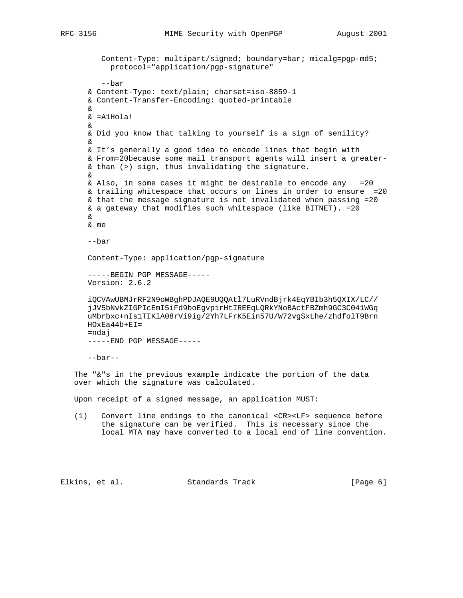```
 Content-Type: multipart/signed; boundary=bar; micalg=pgp-md5;
          protocol="application/pgp-signature"
         --bar
     & Content-Type: text/plain; charset=iso-8859-1
     & Content-Transfer-Encoding: quoted-printable
     &
     & =A1Hola!
     &
     & Did you know that talking to yourself is a sign of senility?
     &
     & It's generally a good idea to encode lines that begin with
     & From=20because some mail transport agents will insert a greater-
     & than (>) sign, thus invalidating the signature.
&
     & Also, in some cases it might be desirable to encode any =20
     & trailing whitespace that occurs on lines in order to ensure =20
     & that the message signature is not invalidated when passing =20
     & a gateway that modifies such whitespace (like BITNET). =20
     &
     & me
     --bar
     Content-Type: application/pgp-signature
     -----BEGIN PGP MESSAGE-----
     Version: 2.6.2
     iQCVAwUBMJrRF2N9oWBghPDJAQE9UQQAtl7LuRVndBjrk4EqYBIb3h5QXIX/LC//
     jJV5bNvkZIGPIcEmI5iFd9boEgvpirHtIREEqLQRkYNoBActFBZmh9GC3C041WGq
     uMbrbxc+nIs1TIKlA08rVi9ig/2Yh7LFrK5Ein57U/W72vgSxLhe/zhdfolT9Brn
     HOxEa44b+EI=
     =ndaj
     -----END PGP MESSAGE-----
     --bar--
  The "&"s in the previous example indicate the portion of the data
  over which the signature was calculated.
  Upon receipt of a signed message, an application MUST:
  (1) Convert line endings to the canonical <CR><LF> sequence before
        the signature can be verified. This is necessary since the
        local MTA may have converted to a local end of line convention.
```
Elkins, et al. Standards Track [Page 6]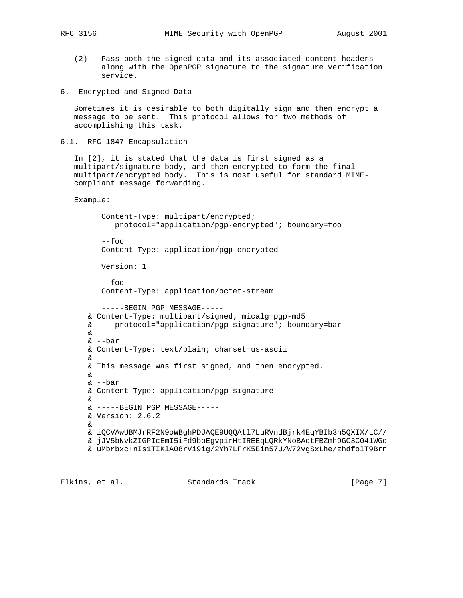- - (2) Pass both the signed data and its associated content headers along with the OpenPGP signature to the signature verification service.
- 6. Encrypted and Signed Data

 Sometimes it is desirable to both digitally sign and then encrypt a message to be sent. This protocol allows for two methods of accomplishing this task.

6.1. RFC 1847 Encapsulation

 In [2], it is stated that the data is first signed as a multipart/signature body, and then encrypted to form the final multipart/encrypted body. This is most useful for standard MIME compliant message forwarding.

Example:

```
 Content-Type: multipart/encrypted;
      protocol="application/pgp-encrypted"; boundary=foo
  --foo
   Content-Type: application/pgp-encrypted
   Version: 1
   --foo
   Content-Type: application/octet-stream
   -----BEGIN PGP MESSAGE-----
& Content-Type: multipart/signed; micalg=pgp-md5
& protocol="application/pgp-signature"; boundary=bar
&
& --bar
& Content-Type: text/plain; charset=us-ascii
&
& This message was first signed, and then encrypted.
&
& --bar
& Content-Type: application/pgp-signature
&
& -----BEGIN PGP MESSAGE-----
& Version: 2.6.2
&
& iQCVAwUBMJrRF2N9oWBghPDJAQE9UQQAtl7LuRVndBjrk4EqYBIb3h5QXIX/LC//
& jJV5bNvkZIGPIcEmI5iFd9boEgvpirHtIREEqLQRkYNoBActFBZmh9GC3C041WGq
& uMbrbxc+nIs1TIKlA08rVi9ig/2Yh7LFrK5Ein57U/W72vgSxLhe/zhdfolT9Brn
```
Elkins, et al. Standards Track [Page 7]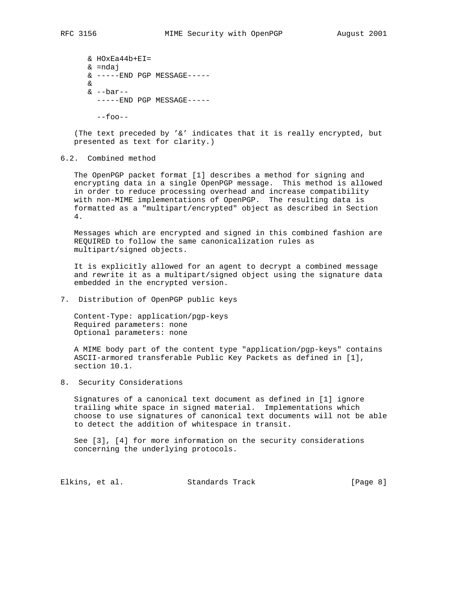& HOxEa44b+EI= & =ndaj  $& ----END$  PGP MESSAGE----- &  $\&$  --bar-------END PGP MESSAGE-----

--foo--

 (The text preceded by '&' indicates that it is really encrypted, but presented as text for clarity.)

# 6.2. Combined method

 The OpenPGP packet format [1] describes a method for signing and encrypting data in a single OpenPGP message. This method is allowed in order to reduce processing overhead and increase compatibility with non-MIME implementations of OpenPGP. The resulting data is formatted as a "multipart/encrypted" object as described in Section 4.

 Messages which are encrypted and signed in this combined fashion are REQUIRED to follow the same canonicalization rules as multipart/signed objects.

 It is explicitly allowed for an agent to decrypt a combined message and rewrite it as a multipart/signed object using the signature data embedded in the encrypted version.

7. Distribution of OpenPGP public keys

 Content-Type: application/pgp-keys Required parameters: none Optional parameters: none

 A MIME body part of the content type "application/pgp-keys" contains ASCII-armored transferable Public Key Packets as defined in [1], section 10.1.

8. Security Considerations

 Signatures of a canonical text document as defined in [1] ignore trailing white space in signed material. Implementations which choose to use signatures of canonical text documents will not be able to detect the addition of whitespace in transit.

 See [3], [4] for more information on the security considerations concerning the underlying protocols.

Elkins, et al. Standards Track [Page 8]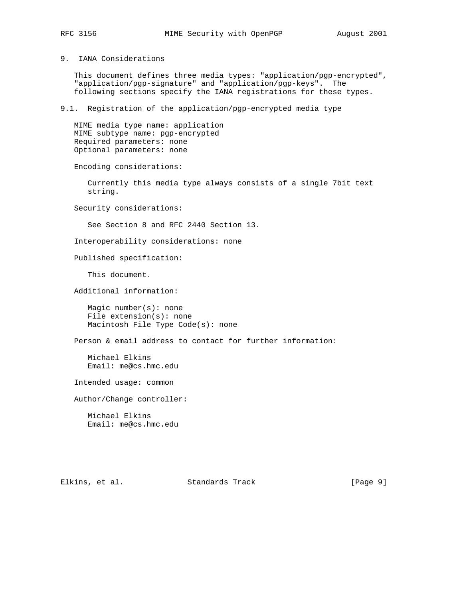### 9. IANA Considerations

 This document defines three media types: "application/pgp-encrypted", "application/pgp-signature" and "application/pgp-keys". The following sections specify the IANA registrations for these types.

### 9.1. Registration of the application/pgp-encrypted media type

 MIME media type name: application MIME subtype name: pgp-encrypted Required parameters: none Optional parameters: none

Encoding considerations:

 Currently this media type always consists of a single 7bit text string.

Security considerations:

See Section 8 and RFC 2440 Section 13.

Interoperability considerations: none

Published specification:

This document.

Additional information:

 Magic number(s): none File extension(s): none Macintosh File Type Code(s): none

Person & email address to contact for further information:

 Michael Elkins Email: me@cs.hmc.edu

Intended usage: common

Author/Change controller:

 Michael Elkins Email: me@cs.hmc.edu

Elkins, et al. Standards Track [Page 9]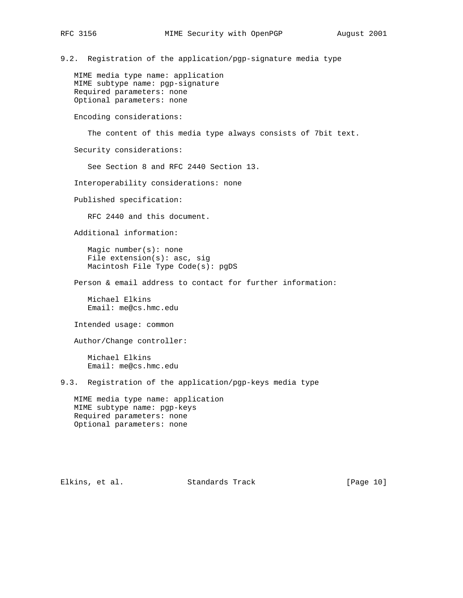9.2. Registration of the application/pgp-signature media type

 MIME media type name: application MIME subtype name: pgp-signature Required parameters: none Optional parameters: none

Encoding considerations:

The content of this media type always consists of 7bit text.

Security considerations:

See Section 8 and RFC 2440 Section 13.

Interoperability considerations: none

Published specification:

RFC 2440 and this document.

Additional information:

 Magic number(s): none File extension(s): asc, sig Macintosh File Type Code(s): pgDS

Person & email address to contact for further information:

 Michael Elkins Email: me@cs.hmc.edu

Intended usage: common

Author/Change controller:

 Michael Elkins Email: me@cs.hmc.edu

9.3. Registration of the application/pgp-keys media type

 MIME media type name: application MIME subtype name: pgp-keys Required parameters: none Optional parameters: none

Elkins, et al. Standards Track [Page 10]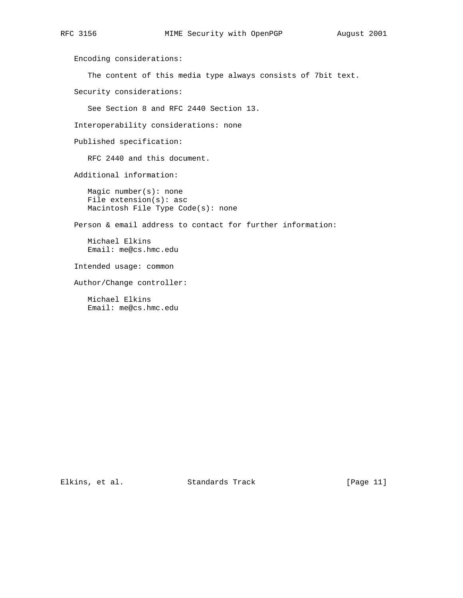Encoding considerations: The content of this media type always consists of 7bit text. Security considerations: See Section 8 and RFC 2440 Section 13. Interoperability considerations: none Published specification: RFC 2440 and this document. Additional information: Magic number(s): none File extension(s): asc Macintosh File Type Code(s): none Person & email address to contact for further information: Michael Elkins Email: me@cs.hmc.edu Intended usage: common Author/Change controller: Michael Elkins Email: me@cs.hmc.edu

Elkins, et al. Standards Track [Page 11]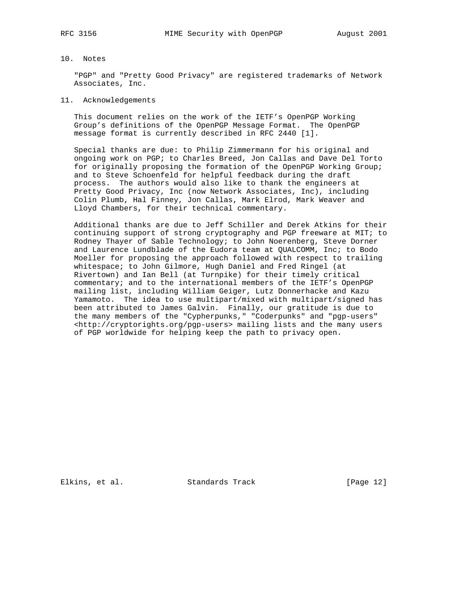## 10. Notes

 "PGP" and "Pretty Good Privacy" are registered trademarks of Network Associates, Inc.

### 11. Acknowledgements

 This document relies on the work of the IETF's OpenPGP Working Group's definitions of the OpenPGP Message Format. The OpenPGP message format is currently described in RFC 2440 [1].

 Special thanks are due: to Philip Zimmermann for his original and ongoing work on PGP; to Charles Breed, Jon Callas and Dave Del Torto for originally proposing the formation of the OpenPGP Working Group; and to Steve Schoenfeld for helpful feedback during the draft process. The authors would also like to thank the engineers at Pretty Good Privacy, Inc (now Network Associates, Inc), including Colin Plumb, Hal Finney, Jon Callas, Mark Elrod, Mark Weaver and Lloyd Chambers, for their technical commentary.

 Additional thanks are due to Jeff Schiller and Derek Atkins for their continuing support of strong cryptography and PGP freeware at MIT; to Rodney Thayer of Sable Technology; to John Noerenberg, Steve Dorner and Laurence Lundblade of the Eudora team at QUALCOMM, Inc; to Bodo Moeller for proposing the approach followed with respect to trailing whitespace; to John Gilmore, Hugh Daniel and Fred Ringel (at Rivertown) and Ian Bell (at Turnpike) for their timely critical commentary; and to the international members of the IETF's OpenPGP mailing list, including William Geiger, Lutz Donnerhacke and Kazu Yamamoto. The idea to use multipart/mixed with multipart/signed has been attributed to James Galvin. Finally, our gratitude is due to the many members of the "Cypherpunks," "Coderpunks" and "pgp-users" <http://cryptorights.org/pgp-users> mailing lists and the many users of PGP worldwide for helping keep the path to privacy open.

Elkins, et al. Standards Track [Page 12]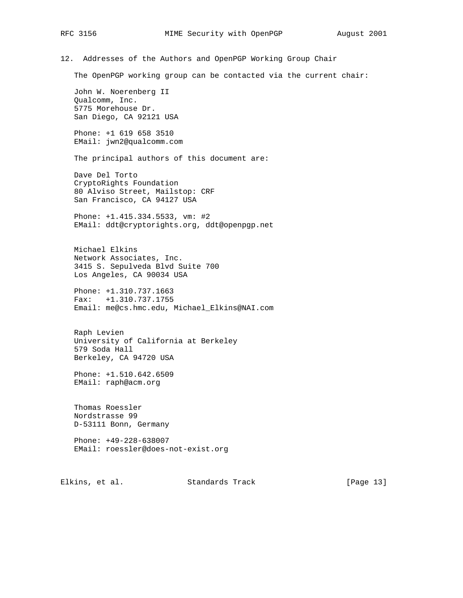12. Addresses of the Authors and OpenPGP Working Group Chair

The OpenPGP working group can be contacted via the current chair:

 John W. Noerenberg II Qualcomm, Inc. 5775 Morehouse Dr. San Diego, CA 92121 USA

 Phone: +1 619 658 3510 EMail: jwn2@qualcomm.com

The principal authors of this document are:

 Dave Del Torto CryptoRights Foundation 80 Alviso Street, Mailstop: CRF San Francisco, CA 94127 USA

 Phone: +1.415.334.5533, vm: #2 EMail: ddt@cryptorights.org, ddt@openpgp.net

 Michael Elkins Network Associates, Inc. 3415 S. Sepulveda Blvd Suite 700 Los Angeles, CA 90034 USA

 Phone: +1.310.737.1663 Fax: +1.310.737.1755 Email: me@cs.hmc.edu, Michael\_Elkins@NAI.com

 Raph Levien University of California at Berkeley 579 Soda Hall Berkeley, CA 94720 USA

 Phone: +1.510.642.6509 EMail: raph@acm.org

 Thomas Roessler Nordstrasse 99 D-53111 Bonn, Germany

 Phone: +49-228-638007 EMail: roessler@does-not-exist.org

Elkins, et al. Standards Track [Page 13]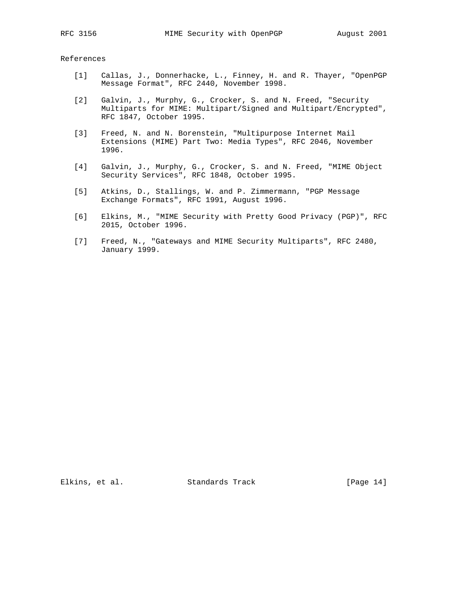References

- [1] Callas, J., Donnerhacke, L., Finney, H. and R. Thayer, "OpenPGP Message Format", RFC 2440, November 1998.
- [2] Galvin, J., Murphy, G., Crocker, S. and N. Freed, "Security Multiparts for MIME: Multipart/Signed and Multipart/Encrypted", RFC 1847, October 1995.
- [3] Freed, N. and N. Borenstein, "Multipurpose Internet Mail Extensions (MIME) Part Two: Media Types", RFC 2046, November 1996.
- [4] Galvin, J., Murphy, G., Crocker, S. and N. Freed, "MIME Object Security Services", RFC 1848, October 1995.
	- [5] Atkins, D., Stallings, W. and P. Zimmermann, "PGP Message Exchange Formats", RFC 1991, August 1996.
	- [6] Elkins, M., "MIME Security with Pretty Good Privacy (PGP)", RFC 2015, October 1996.
	- [7] Freed, N., "Gateways and MIME Security Multiparts", RFC 2480, January 1999.

Elkins, et al. Standards Track [Page 14]